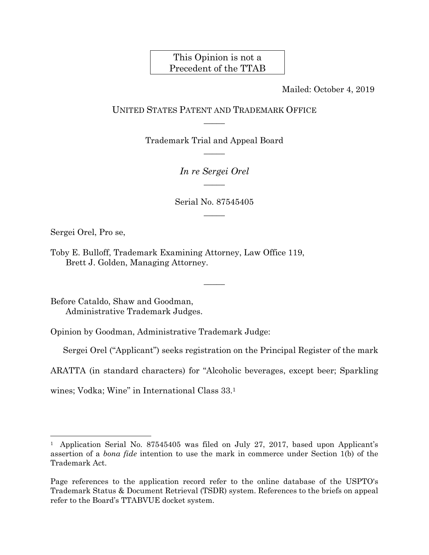# This Opinion is not a Precedent of the TTAB

Mailed: October 4, 2019

## UNITED STATES PATENT AND TRADEMARK OFFICE  $\overline{\phantom{a}}$

Trademark Trial and Appeal Board  $\overline{\phantom{a}}$ 

> *In re Sergei Orel*   $\overline{\phantom{a}}$

Serial No. 87545405  $\overline{\phantom{a}}$ 

 $\overline{\phantom{a}}$ 

Sergei Orel, Pro se,

 $\overline{a}$ 

Toby E. Bulloff, Trademark Examining Attorney, Law Office 119, Brett J. Golden, Managing Attorney.

Before Cataldo, Shaw and Goodman, Administrative Trademark Judges.

Opinion by Goodman, Administrative Trademark Judge:

Sergei Orel ("Applicant") seeks registration on the Principal Register of the mark

ARATTA (in standard characters) for "Alcoholic beverages, except beer; Sparkling

wines; Vodka; Wine" in International Class 33.1

<sup>&</sup>lt;sup>1</sup> Application Serial No. 87545405 was filed on July 27, 2017, based upon Applicant's assertion of a *bona fide* intention to use the mark in commerce under Section 1(b) of the Trademark Act.

Page references to the application record refer to the online database of the USPTO's Trademark Status & Document Retrieval (TSDR) system. References to the briefs on appeal refer to the Board's TTABVUE docket system.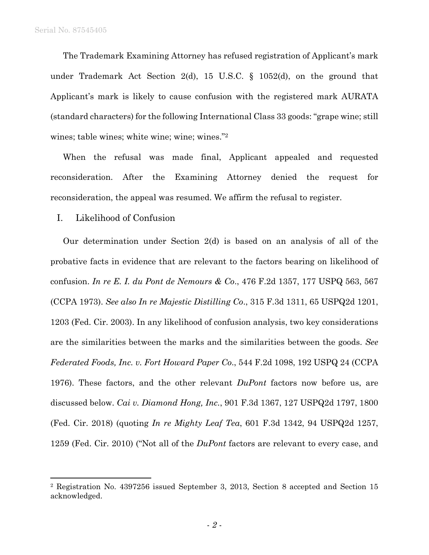1

The Trademark Examining Attorney has refused registration of Applicant's mark under Trademark Act Section 2(d), 15 U.S.C. § 1052(d), on the ground that Applicant's mark is likely to cause confusion with the registered mark AURATA (standard characters) for the following International Class 33 goods: "grape wine; still wines; table wines; white wine; wine; wines."2

When the refusal was made final, Applicant appealed and requested reconsideration. After the Examining Attorney denied the request for reconsideration, the appeal was resumed. We affirm the refusal to register.

I. Likelihood of Confusion

Our determination under Section 2(d) is based on an analysis of all of the probative facts in evidence that are relevant to the factors bearing on likelihood of confusion. *In re E. I. du Pont de Nemours & Co*., 476 F.2d 1357, 177 USPQ 563, 567 (CCPA 1973). *See also In re Majestic Distilling Co*., 315 F.3d 1311, 65 USPQ2d 1201, 1203 (Fed. Cir. 2003). In any likelihood of confusion analysis, two key considerations are the similarities between the marks and the similarities between the goods. *See Federated Foods, Inc. v. Fort Howard Paper Co*., 544 F.2d 1098, 192 USPQ 24 (CCPA 1976). These factors, and the other relevant *DuPont* factors now before us, are discussed below. *Cai v. Diamond Hong, Inc.*, 901 F.3d 1367, 127 USPQ2d 1797, 1800 (Fed. Cir. 2018) (quoting *In re Mighty Leaf Tea*, 601 F.3d 1342, 94 USPQ2d 1257, 1259 (Fed. Cir. 2010) ("Not all of the *DuPont* factors are relevant to every case, and

<sup>2</sup> Registration No. 4397256 issued September 3, 2013, Section 8 accepted and Section 15 acknowledged.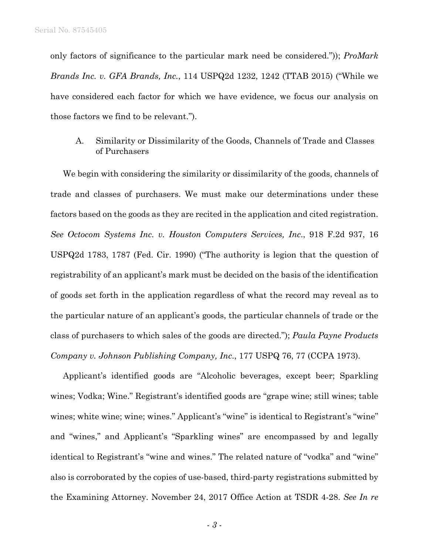only factors of significance to the particular mark need be considered.")); *ProMark Brands Inc. v. GFA Brands, Inc.*, 114 USPQ2d 1232, 1242 (TTAB 2015) ("While we have considered each factor for which we have evidence, we focus our analysis on those factors we find to be relevant.").

### A. Similarity or Dissimilarity of the Goods, Channels of Trade and Classes of Purchasers

We begin with considering the similarity or dissimilarity of the goods, channels of trade and classes of purchasers. We must make our determinations under these factors based on the goods as they are recited in the application and cited registration. *See Octocom Systems Inc. v. Houston Computers Services, Inc*., 918 F.2d 937, 16 USPQ2d 1783, 1787 (Fed. Cir. 1990) ("The authority is legion that the question of registrability of an applicant's mark must be decided on the basis of the identification of goods set forth in the application regardless of what the record may reveal as to the particular nature of an applicant's goods, the particular channels of trade or the class of purchasers to which sales of the goods are directed."); *Paula Payne Products Company v. Johnson Publishing Company, Inc*., 177 USPQ 76, 77 (CCPA 1973).

Applicant's identified goods are "Alcoholic beverages, except beer; Sparkling wines; Vodka; Wine." Registrant's identified goods are "grape wine; still wines; table wines; white wine; wine; wines." Applicant's "wine" is identical to Registrant's "wine" and "wines," and Applicant's "Sparkling wines" are encompassed by and legally identical to Registrant's "wine and wines." The related nature of "vodka" and "wine" also is corroborated by the copies of use-based, third-party registrations submitted by the Examining Attorney. November 24, 2017 Office Action at TSDR 4-28. *See In re*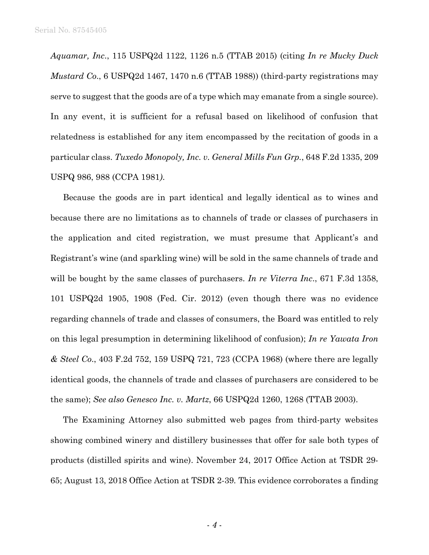*Aquamar, Inc*., 115 USPQ2d 1122, 1126 n.5 (TTAB 2015) (citing *In re Mucky Duck Mustard Co*., 6 USPQ2d 1467, 1470 n.6 (TTAB 1988)) (third-party registrations may serve to suggest that the goods are of a type which may emanate from a single source). In any event, it is sufficient for a refusal based on likelihood of confusion that relatedness is established for any item encompassed by the recitation of goods in a particular class. *Tuxedo Monopoly, Inc. v. General Mills Fun Grp.*, 648 F.2d 1335, 209 USPQ 986, 988 (CCPA 1981*)*.

Because the goods are in part identical and legally identical as to wines and because there are no limitations as to channels of trade or classes of purchasers in the application and cited registration, we must presume that Applicant's and Registrant's wine (and sparkling wine) will be sold in the same channels of trade and will be bought by the same classes of purchasers. *In re Viterra Inc*., 671 F.3d 1358, 101 USPQ2d 1905, 1908 (Fed. Cir. 2012) (even though there was no evidence regarding channels of trade and classes of consumers, the Board was entitled to rely on this legal presumption in determining likelihood of confusion); *In re Yawata Iron & Steel Co*., 403 F.2d 752, 159 USPQ 721, 723 (CCPA 1968) (where there are legally identical goods, the channels of trade and classes of purchasers are considered to be the same); *See also Genesco Inc. v. Martz*, 66 USPQ2d 1260, 1268 (TTAB 2003).

The Examining Attorney also submitted web pages from third-party websites showing combined winery and distillery businesses that offer for sale both types of products (distilled spirits and wine). November 24, 2017 Office Action at TSDR 29- 65; August 13, 2018 Office Action at TSDR 2-39*.* This evidence corroborates a finding

- *4* -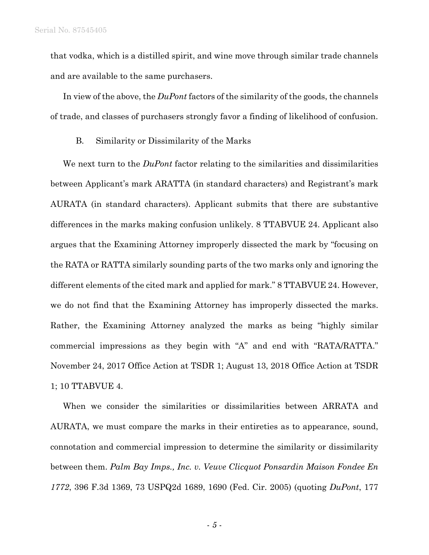that vodka, which is a distilled spirit, and wine move through similar trade channels and are available to the same purchasers.

In view of the above, the *DuPont* factors of the similarity of the goods, the channels of trade, and classes of purchasers strongly favor a finding of likelihood of confusion.

B. Similarity or Dissimilarity of the Marks

We next turn to the *DuPont* factor relating to the similarities and dissimilarities between Applicant's mark ARATTA (in standard characters) and Registrant's mark AURATA (in standard characters). Applicant submits that there are substantive differences in the marks making confusion unlikely. 8 TTABVUE 24. Applicant also argues that the Examining Attorney improperly dissected the mark by "focusing on the RATA or RATTA similarly sounding parts of the two marks only and ignoring the different elements of the cited mark and applied for mark." 8 TTABVUE 24. However, we do not find that the Examining Attorney has improperly dissected the marks. Rather, the Examining Attorney analyzed the marks as being "highly similar commercial impressions as they begin with "A" and end with "RATA/RATTA." November 24, 2017 Office Action at TSDR 1; August 13, 2018 Office Action at TSDR 1; 10 TTABVUE 4.

When we consider the similarities or dissimilarities between ARRATA and AURATA, we must compare the marks in their entireties as to appearance, sound, connotation and commercial impression to determine the similarity or dissimilarity between them. *Palm Bay Imps., Inc. v. Veuve Clicquot Ponsardin Maison Fondee En 1772*, 396 F.3d 1369, 73 USPQ2d 1689, 1690 (Fed. Cir. 2005) (quoting *DuPont*, 177

- *5* -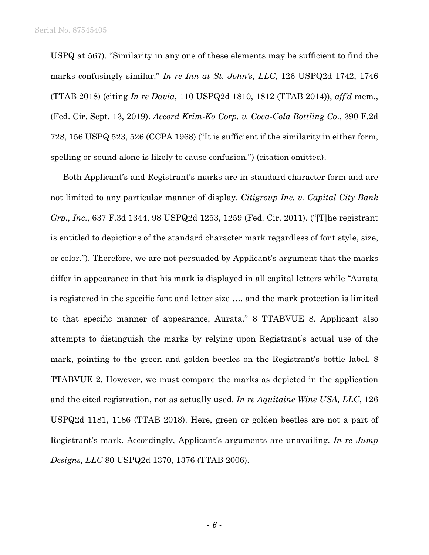USPQ at 567). "Similarity in any one of these elements may be sufficient to find the marks confusingly similar." *In re Inn at St. John's, LLC*, 126 USPQ2d 1742, 1746 (TTAB 2018) (citing *In re Davia*, 110 USPQ2d 1810, 1812 (TTAB 2014)), *aff'd* mem., (Fed. Cir. Sept. 13, 2019). *Accord Krim-Ko Corp. v. Coca-Cola Bottling Co*., 390 F.2d 728, 156 USPQ 523, 526 (CCPA 1968) ("It is sufficient if the similarity in either form, spelling or sound alone is likely to cause confusion.") (citation omitted).

Both Applicant's and Registrant's marks are in standard character form and are not limited to any particular manner of display. *Citigroup Inc. v. Capital City Bank Grp., Inc*., 637 F.3d 1344, 98 USPQ2d 1253, 1259 (Fed. Cir. 2011). ("[T]he registrant is entitled to depictions of the standard character mark regardless of font style, size, or color."). Therefore, we are not persuaded by Applicant's argument that the marks differ in appearance in that his mark is displayed in all capital letters while "Aurata is registered in the specific font and letter size …. and the mark protection is limited to that specific manner of appearance, Aurata." 8 TTABVUE 8. Applicant also attempts to distinguish the marks by relying upon Registrant's actual use of the mark, pointing to the green and golden beetles on the Registrant's bottle label. 8 TTABVUE 2. However, we must compare the marks as depicted in the application and the cited registration, not as actually used. *In re Aquitaine Wine USA, LLC*, 126 USPQ2d 1181, 1186 (TTAB 2018). Here, green or golden beetles are not a part of Registrant's mark. Accordingly, Applicant's arguments are unavailing. *In re Jump Designs, LLC* 80 USPQ2d 1370, 1376 (TTAB 2006).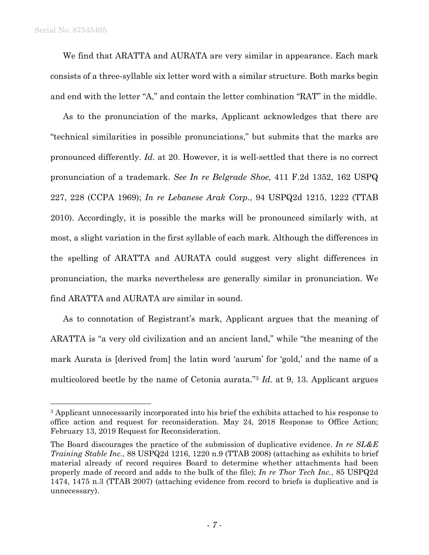$\overline{a}$ 

We find that ARATTA and AURATA are very similar in appearance. Each mark consists of a three-syllable six letter word with a similar structure. Both marks begin and end with the letter "A," and contain the letter combination "RAT" in the middle.

As to the pronunciation of the marks, Applicant acknowledges that there are "technical similarities in possible pronunciations," but submits that the marks are pronounced differently. *Id*. at 20. However, it is well-settled that there is no correct pronunciation of a trademark. *See In re Belgrade Shoe,* 411 F.2d 1352, 162 USPQ 227, 228 (CCPA 1969); *In re Lebanese Arak Co*r*p*., 94 USPQ2d 1215, 1222 (TTAB 2010). Accordingly, it is possible the marks will be pronounced similarly with, at most, a slight variation in the first syllable of each mark. Although the differences in the spelling of ARATTA and AURATA could suggest very slight differences in pronunciation, the marks nevertheless are generally similar in pronunciation. We find ARATTA and AURATA are similar in sound.

As to connotation of Registrant's mark, Applicant argues that the meaning of ARATTA is "a very old civilization and an ancient land," while "the meaning of the mark Aurata is [derived from] the latin word 'aurum' for 'gold,' and the name of a multicolored beetle by the name of Cetonia aurata."3 *Id.* at 9, 13. Applicant argues

<sup>&</sup>lt;sup>3</sup> Applicant unnecessarily incorporated into his brief the exhibits attached to his response to office action and request for reconsideration. May 24, 2018 Response to Office Action; February 13, 2019 Request for Reconsideration.

The Board discourages the practice of the submission of duplicative evidence. *In re SL&E Training Stable Inc.*, 88 USPQ2d 1216, 1220 n.9 (TTAB 2008) (attaching as exhibits to brief material already of record requires Board to determine whether attachments had been properly made of record and adds to the bulk of the file); *In re Thor Tech Inc.*, 85 USPQ2d 1474, 1475 n.3 (TTAB 2007) (attaching evidence from record to briefs is duplicative and is unnecessary).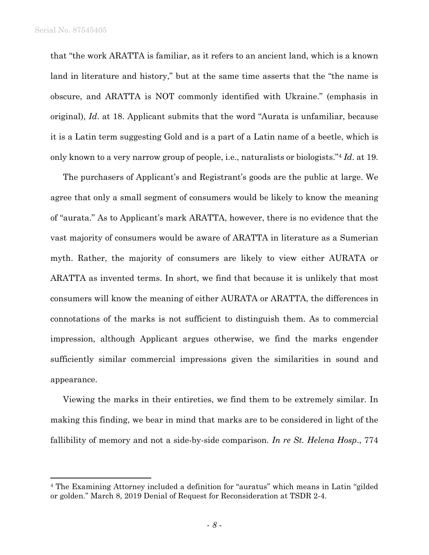$\overline{a}$ 

that "the work ARATTA is familiar, as it refers to an ancient land, which is a known land in literature and history," but at the same time asserts that the "the name is obscure, and ARATTA is NOT commonly identified with Ukraine." (emphasis in original), *Id*. at 18. Applicant submits that the word "Aurata is unfamiliar, because it is a Latin term suggesting Gold and is a part of a Latin name of a beetle, which is only known to a very narrow group of people, i.e., naturalists or biologists."4 *Id*. at 19.

The purchasers of Applicant's and Registrant's goods are the public at large. We agree that only a small segment of consumers would be likely to know the meaning of "aurata." As to Applicant's mark ARATTA, however, there is no evidence that the vast majority of consumers would be aware of ARATTA in literature as a Sumerian myth. Rather, the majority of consumers are likely to view either AURATA or ARATTA as invented terms. In short, we find that because it is unlikely that most consumers will know the meaning of either AURATA or ARATTA, the differences in connotations of the marks is not sufficient to distinguish them. As to commercial impression, although Applicant argues otherwise, we find the marks engender sufficiently similar commercial impressions given the similarities in sound and appearance.

Viewing the marks in their entireties, we find them to be extremely similar. In making this finding, we bear in mind that marks are to be considered in light of the fallibility of memory and not a side-by-side comparison. *In re St. Helena Hosp*., 774

<sup>4</sup> The Examining Attorney included a definition for "auratus" which means in Latin "gilded or golden." March 8, 2019 Denial of Request for Reconsideration at TSDR 2-4.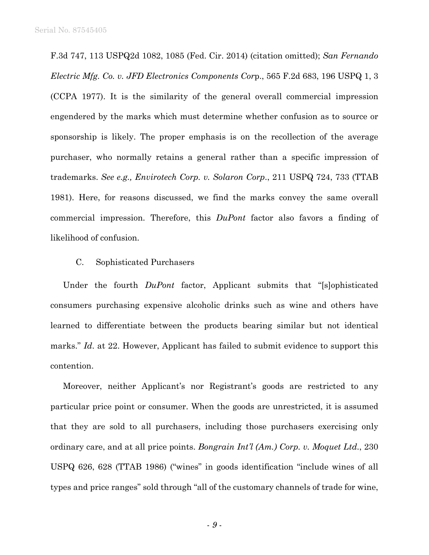F.3d 747, 113 USPQ2d 1082, 1085 (Fed. Cir. 2014) (citation omitted); *San Fernando Electric Mfg. Co. v. JFD Electronics Components Cor*p., 565 F.2d 683, 196 USPQ 1, 3 (CCPA 1977). It is the similarity of the general overall commercial impression engendered by the marks which must determine whether confusion as to source or sponsorship is likely. The proper emphasis is on the recollection of the average purchaser, who normally retains a general rather than a specific impression of trademarks. *See e.g., Envirotech Corp. v. Solaron Corp*., 211 USPQ 724, 733 (TTAB 1981). Here, for reasons discussed, we find the marks convey the same overall commercial impression. Therefore, this *DuPont* factor also favors a finding of likelihood of confusion.

#### C. Sophisticated Purchasers

Under the fourth *DuPont* factor, Applicant submits that "[s]ophisticated consumers purchasing expensive alcoholic drinks such as wine and others have learned to differentiate between the products bearing similar but not identical marks." *Id.* at 22. However, Applicant has failed to submit evidence to support this contention.

Moreover, neither Applicant's nor Registrant's goods are restricted to any particular price point or consumer. When the goods are unrestricted, it is assumed that they are sold to all purchasers, including those purchasers exercising only ordinary care, and at all price points. *Bongrain Int'l (Am.) Corp. v. Moquet Ltd*., 230 USPQ 626, 628 (TTAB 1986) ("wines" in goods identification "include wines of all types and price ranges" sold through "all of the customary channels of trade for wine,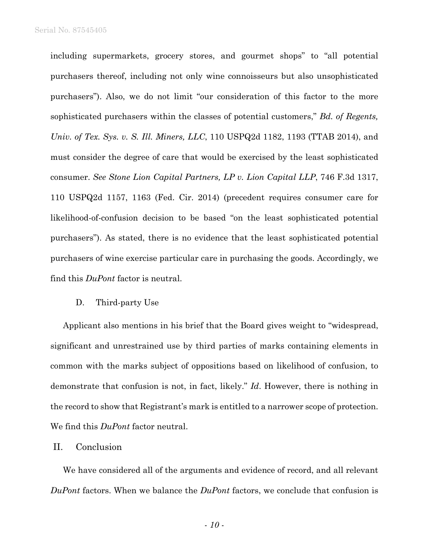including supermarkets, grocery stores, and gourmet shops" to "all potential purchasers thereof, including not only wine connoisseurs but also unsophisticated purchasers"). Also, we do not limit "our consideration of this factor to the more sophisticated purchasers within the classes of potential customers," *Bd. of Regents, Univ. of Tex. Sys. v. S. Ill. Miners, LLC*, 110 USPQ2d 1182, 1193 (TTAB 2014), and must consider the degree of care that would be exercised by the least sophisticated consumer. *See Stone Lion Capital Partners, LP v. Lion Capital LLP*, 746 F.3d 1317, 110 USPQ2d 1157, 1163 (Fed. Cir. 2014) (precedent requires consumer care for likelihood-of-confusion decision to be based "on the least sophisticated potential purchasers"). As stated, there is no evidence that the least sophisticated potential purchasers of wine exercise particular care in purchasing the goods. Accordingly, we find this *DuPont* factor is neutral.

#### D. Third-party Use

Applicant also mentions in his brief that the Board gives weight to "widespread, significant and unrestrained use by third parties of marks containing elements in common with the marks subject of oppositions based on likelihood of confusion, to demonstrate that confusion is not, in fact, likely." *Id*. However, there is nothing in the record to show that Registrant's mark is entitled to a narrower scope of protection. We find this *DuPont* factor neutral.

### II. Conclusion

We have considered all of the arguments and evidence of record, and all relevant *DuPont* factors. When we balance the *DuPont* factors, we conclude that confusion is

- *10* -